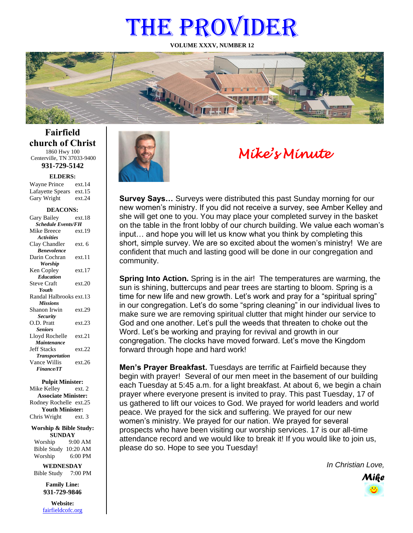# THE PROVIDER

**VOLUME XXXV, NUMBER 12**



**Fairfield church of Christ** 1860 Hwy 100 Centerville, TN 37033-9400

**931-729-5142**

Gary Wright ext.24 **ELDERS:** Wayne Prince ext.14 Lafayette Spears ext.15

#### **DEACONS:**

| Gary Bailey                      | ext.18 |
|----------------------------------|--------|
| <b>Schedule Events/FH</b>        |        |
| Mike Breece                      | ext.19 |
| <b>Activities</b>                |        |
| Clay Chandler                    | ext. 6 |
| <b><i><u>Renevolence</u></i></b> |        |
| Darin Cochran                    | ext.11 |
| <b>Worship</b>                   |        |
| Ken Copley                       | ext.17 |
| <b>Education</b>                 |        |
| <b>Steve Craft</b>               | ext.20 |
| <b>Youth</b>                     |        |
| Randal Halbrooks ext.13          |        |
| <b>Missions</b>                  |        |
| Shanon Irwin                     | ext.29 |
| <b>Security</b>                  |        |
| O.D. Pratt                       | ext.23 |
| <b>Seniors</b>                   |        |
| Lloyd Rochelle                   | ext.21 |
| Maintenance                      |        |
| <b>Jeff Stacks</b>               | ext.22 |
| <b>Transportation</b>            |        |
| Vance Willis                     | ext.26 |
| <b>Finance/IT</b>                |        |
|                                  |        |

**Pulpit Minister:**

Mike Kelley ext. 2 **Associate Minister:** Rodney Rochelle ext.25 **Youth Minister:** Chris Wright ext. 3

**Worship & Bible Study: SUNDAY** Worship 9:00 AM

Bible Study 10:20 AM Worship 6:00 PM **WEDNESDAY**

Bible Study 7:00 PM

**Family Line: 931-729-9846**

**Website:** [fairfieldcofc.org](file:///C:/Users/RickJoyce/Documents/Fairfield%20Website%20Files/fairfieldchurchofchrist.org)



# *Mike's Minute*

**Survey Says…** Surveys were distributed this past Sunday morning for our new women's ministry. If you did not receive a survey, see Amber Kelley and she will get one to you. You may place your completed survey in the basket on the table in the front lobby of our church building. We value each woman's input… and hope you will let us know what you think by completing this short, simple survey. We are so excited about the women's ministry! We are confident that much and lasting good will be done in our congregation and community.

**Spring Into Action.** Spring is in the air! The temperatures are warming, the sun is shining, buttercups and pear trees are starting to bloom. Spring is a time for new life and new growth. Let's work and pray for a "spiritual spring" in our congregation. Let's do some "spring cleaning" in our individual lives to make sure we are removing spiritual clutter that might hinder our service to God and one another. Let's pull the weeds that threaten to choke out the Word. Let's be working and praying for revival and growth in our congregation. The clocks have moved forward. Let's move the Kingdom forward through hope and hard work!

**Men's Prayer Breakfast.** Tuesdays are terrific at Fairfield because they begin with prayer! Several of our men meet in the basement of our building each Tuesday at 5:45 a.m. for a light breakfast. At about 6, we begin a chain prayer where everyone present is invited to pray. This past Tuesday, 17 of us gathered to lift our voices to God. We prayed for world leaders and world peace. We prayed for the sick and suffering. We prayed for our new women's ministry. We prayed for our nation. We prayed for several prospects who have been visiting our worship services. 17 is our all-time attendance record and we would like to break it! If you would like to join us, please do so. Hope to see you Tuesday!

*In Christian Love,*

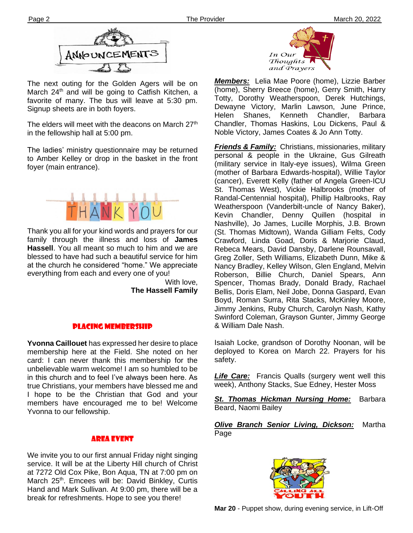



The next outing for the Golden Agers will be on March 24<sup>th</sup> and will be going to Catfish Kitchen, a favorite of many. The bus will leave at 5:30 pm. Signup sheets are in both foyers.

**Ther** in the fellowship hall at 5:00 pm. The elders will meet with the deacons on March 27<sup>th</sup>

The ladies' ministry questionnaire may be returned to Amber Kelley or drop in the basket in the front foyer (main entrance).



Thank you all for your kind words and prayers for our family through the illness and loss of **James Hassell**. You all meant so much to him and we are blessed to have had such a beautiful service for him at the church he considered "home." We appreciate everything from each and every one of you!

> With love, **The Hassell Family**

# PLACING MEMBERSHIP

true Christians, your members have blessed me and **Yvonna Caillouet** has expressed her desire to place membership here at the Field. She noted on her card: I can never thank this membership for the unbelievable warm welcome! I am so humbled to be in this church and to feel I've always been here. As I hope to be the Christian that God and your members have encouraged me to be! Welcome Yvonna to our fellowship.

# Area Event

We invite you to our first annual Friday night singing service. It will be at the Liberty Hill church of Christ at 7272 Old Cox Pike, Bon Aqua, TN at 7:00 pm on March 25<sup>th</sup>. Emcees will be: David Binkley, Curtis Hand and Mark Sullivan. At 9:00 pm, there will be a break for refreshments. Hope to see you there!



*Members:* Lelia Mae Poore (home), Lizzie Barber (home), Sherry Breece (home), Gerry Smith, Harry Totty, Dorothy Weatherspoon, Derek Hutchings, Dewayne Victory, Marlin Lawson, June Prince, Helen Shanes, Kenneth Chandler, Barbara Chandler, Thomas Haskins, Lou Dickens, Paul & Noble Victory, James Coates & Jo Ann Totty.

*Friends & Family:* Christians, missionaries, military personal & people in the Ukraine, Gus Gilreath (military service in Italy-eye issues), Wilma Green (mother of Barbara Edwards-hospital), Willie Taylor (cancer), Everett Kelly (father of Angela Green-ICU St. Thomas West), Vickie Halbrooks (mother of Randal-Centennial hospital), Phillip Halbrooks, Ray Weatherspoon (Vanderbilt-uncle of Nancy Baker), Kevin Chandler, Denny Quillen (hospital in Nashville), Jo James, Lucille Morphis, J.B. Brown (St. Thomas Midtown), Wanda Gilliam Felts, Cody Crawford, Linda Goad, Doris & Marjorie Claud, Rebeca Mears, David Dansby, Darlene Rounsavall, Greg Zoller, Seth Williams, Elizabeth Dunn, Mike & Nancy Bradley, Kelley Wilson, Glen England, Melvin Roberson, Billie Church, Daniel Spears, Ann Spencer, Thomas Brady, Donald Brady, Rachael Bellis, Doris Elam, Neil Jobe, Donna Gaspard, Evan Boyd, Roman Surra, Rita Stacks, McKinley Moore, Jimmy Jenkins, Ruby Church, Carolyn Nash, Kathy Swinford Coleman, Grayson Gunter, Jimmy George & William Dale Nash.

Isaiah Locke, grandson of Dorothy Noonan, will be deployed to Korea on March 22. Prayers for his safety.

*Life Care:* Francis Qualls (surgery went well this week), Anthony Stacks, Sue Edney, Hester Moss

*St. Thomas Hickman Nursing Home:* Barbara Beard, Naomi Bailey

*Olive Branch Senior Living, Dickson:* Martha Page

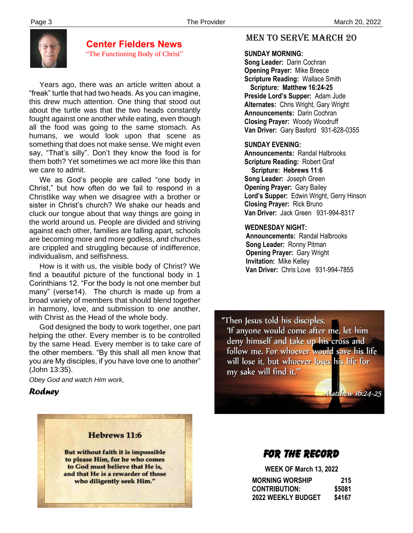

# **Center Fielders News** "The Functioning Body of Christ"

 Years ago, there was an article written about a "freak" turtle that had two heads. As you can imagine, this drew much attention. One thing that stood out about the turtle was that the two heads constantly fought against one another while eating, even though all the food was going to the same stomach. As humans, we would look upon that scene as something that does not make sense. We might even say, "That's silly". Don't they know the food is for them both? Yet sometimes we act more like this than we care to admit.

 We as God's people are called "one body in Christ," but how often do we fail to respond in a Christlike way when we disagree with a brother or sister in Christ's church? We shake our heads and cluck our tongue about that way things are going in the world around us. People are divided and striving against each other, families are falling apart, schools are becoming more and more godless, and churches are crippled and struggling because of indifference, individualism, and selfishness.

 How is it with us, the visible body of Christ? We find a beautiful picture of the functional body in 1 Corinthians 12. "For the body is not one member but many" (verse14). The church is made up from a broad variety of members that should blend together in harmony, love, and submission to one another, with Christ as the Head of the whole body.

 God designed the body to work together, one part helping the other. Every member is to be controlled by the same Head. Every member is to take care of the other members. "By this shall all men know that you are My disciples, if you have love one to another" (John 13:35).

*Obey God and watch Him work,*

# *Rodney*

# Hebrews 11:6 But without faith it is impossible to please Him, for he who comes to God must believe that He is, and that He is a rewarder of those who diligently seek Him."

# MEN TO SERVE march 20

#### **SUNDAY MORNING:**

**Song Leader:** Darin Cochran  **Opening Prayer:** Mike Breece **Scripture Reading:** Wallace Smith  **Scripture: Matthew 16:24-25 Preside Lord's Supper:** Adam Jude  **Alternates:** Chris Wright, Gary Wright  **Announcements:** Darin Cochran  **Closing Prayer:** Woody Woodruff **Van Driver:** Gary Basford 931-628-0355

# **SUNDAY EVENING:**

**Announcements:** Randal Halbrooks **Scripture Reading:** Robert Graf  **Scripture: Hebrews 11:6 Song Leader:** Joseph Green **Opening Prayer:** Gary Bailey **Lord's Supper:** Edwin Wright, Gerry Hinson **Closing Prayer:** Rick Bruno **Van Driver:** Jack Green 931-994-8317

# **WEDNESDAY NIGHT:**

**Announcements:** Randal Halbrooks **Song Leader:** Ronny Pitman **Opening Prayer:** Gary Wright **Invitation:** Mike Kelley  **Van Driver:** Chris Love 931-994-7855

"Then Jesus told his disciples, 'If anyone would come after me, let him deny himself and take up his cross and follow me. For whoever would save his life will lose it, but whoever loses his life for my sake will find it.""

**Matthew 16:24-25** 

# FOR THE RECORD

 **WEEK OF March 13, 2022 MORNING WORSHIP 215 CONTRIBUTION: \$5081 2022 WEEKLY BUDGET \$4167**